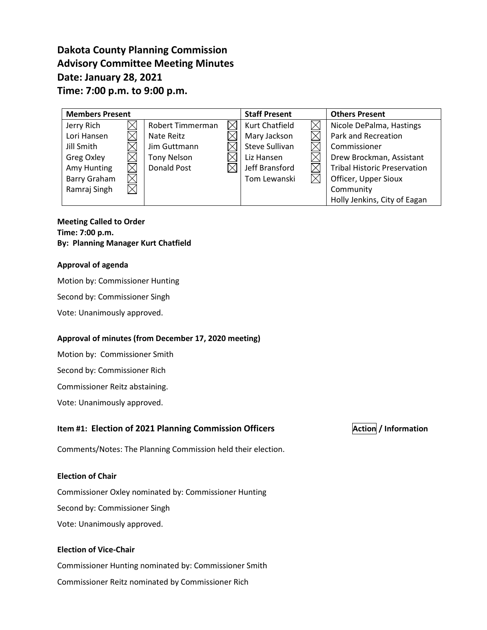# **Dakota County Planning Commission Advisory Committee Meeting Minutes Date: January 28, 2021 Time: 7:00 p.m. to 9:00 p.m.**

| <b>Members Present</b>   |                    |  | <b>Staff Present</b> | <b>Others Present</b>               |
|--------------------------|--------------------|--|----------------------|-------------------------------------|
| Jerry Rich               | Robert Timmerman   |  | Kurt Chatfield       | Nicole DePalma, Hastings            |
| Lori Hansen              | Nate Reitz         |  | Mary Jackson         | Park and Recreation                 |
| Jill Smith               | Jim Guttmann       |  | Steve Sullivan       | Commissioner                        |
| Greg Oxley               | <b>Tony Nelson</b> |  | Liz Hansen           | Drew Brockman, Assistant            |
| Amy Hunting              | <b>Donald Post</b> |  | Jeff Bransford       | <b>Tribal Historic Preservation</b> |
| Barry Graham             |                    |  | Tom Lewanski         | Officer, Upper Sioux                |
| Ramraj Singh<br>$\times$ |                    |  |                      | Community                           |
|                          |                    |  |                      | Holly Jenkins, City of Eagan        |

### **Meeting Called to Order Time: 7:00 p.m. By: Planning Manager Kurt Chatfield**

### **Approval of agenda**

Motion by: Commissioner Hunting

Second by: Commissioner Singh

Vote: Unanimously approved.

### **Approval of minutes (from December 17, 2020 meeting)**

Motion by: Commissioner Smith

Second by: Commissioner Rich

Commissioner Reitz abstaining.

Vote: Unanimously approved.

# **Item #1: Election of 2021 Planning Commission Officers**  $\vert$ **Action / Information**

Comments/Notes: The Planning Commission held their election.

### **Election of Chair**

Commissioner Oxley nominated by: Commissioner Hunting Second by: Commissioner Singh

Vote: Unanimously approved.

# **Election of Vice-Chair**

Commissioner Hunting nominated by: Commissioner Smith Commissioner Reitz nominated by Commissioner Rich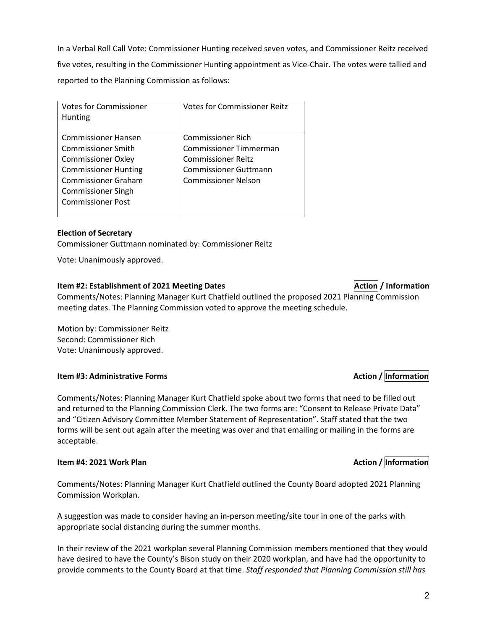In a Verbal Roll Call Vote: Commissioner Hunting received seven votes, and Commissioner Reitz received five votes, resulting in the Commissioner Hunting appointment as Vice-Chair. The votes were tallied and reported to the Planning Commission as follows:

| <b>Hunting</b>                                                                                                                                                                                                                                                                                                                         |  |
|----------------------------------------------------------------------------------------------------------------------------------------------------------------------------------------------------------------------------------------------------------------------------------------------------------------------------------------|--|
| Commissioner Rich<br>Commissioner Hansen<br>Commissioner Timmerman<br><b>Commissioner Smith</b><br><b>Commissioner Reitz</b><br><b>Commissioner Oxley</b><br><b>Commissioner Hunting</b><br><b>Commissioner Guttmann</b><br><b>Commissioner Graham</b><br><b>Commissioner Nelson</b><br>Commissioner Singh<br><b>Commissioner Post</b> |  |

### **Election of Secretary**

Commissioner Guttmann nominated by: Commissioner Reitz

Vote: Unanimously approved.

#### **Item #2: Establishment of 2021 Meeting Dates Action Action Action / Information**

Comments/Notes: Planning Manager Kurt Chatfield outlined the proposed 2021 Planning Commission meeting dates. The Planning Commission voted to approve the meeting schedule.

Motion by: Commissioner Reitz Second: Commissioner Rich Vote: Unanimously approved.

### **Item #3: Administrative Forms** Action / Information

Comments/Notes: Planning Manager Kurt Chatfield spoke about two forms that need to be filled out and returned to the Planning Commission Clerk. The two forms are: "Consent to Release Private Data" and "Citizen Advisory Committee Member Statement of Representation". Staff stated that the two forms will be sent out again after the meeting was over and that emailing or mailing in the forms are acceptable.

#### **Item #4: 2021 Work Plan Action** *Information Action / Information*

Comments/Notes: Planning Manager Kurt Chatfield outlined the County Board adopted 2021 Planning Commission Workplan.

A suggestion was made to consider having an in-person meeting/site tour in one of the parks with appropriate social distancing during the summer months.

In their review of the 2021 workplan several Planning Commission members mentioned that they would have desired to have the County's Bison study on their 2020 workplan, and have had the opportunity to provide comments to the County Board at that time. *Staff responded that Planning Commission still has*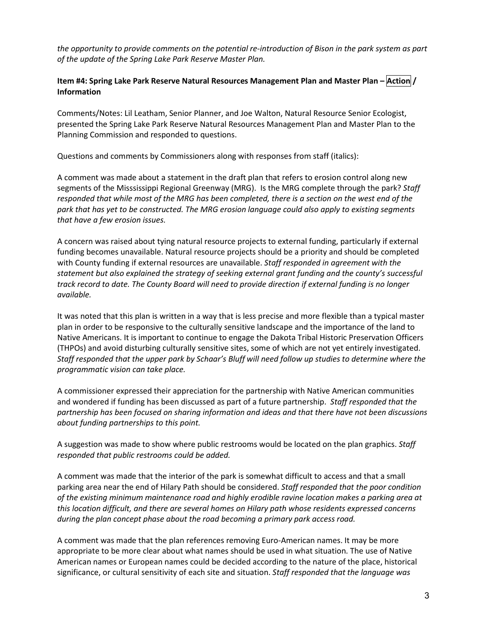*the opportunity to provide comments on the potential re-introduction of Bison in the park system as part of the update of the Spring Lake Park Reserve Master Plan.*

# **Item #4: Spring Lake Park Reserve Natural Resources Management Plan and Master Plan – Action / Information**

Comments/Notes: Lil Leatham, Senior Planner, and Joe Walton, Natural Resource Senior Ecologist, presented the Spring Lake Park Reserve Natural Resources Management Plan and Master Plan to the Planning Commission and responded to questions.

Questions and comments by Commissioners along with responses from staff (italics):

A comment was made about a statement in the draft plan that refers to erosion control along new segments of the Misssissippi Regional Greenway (MRG). Is the MRG complete through the park? *Staff responded that while most of the MRG has been completed, there is a section on the west end of the park that has yet to be constructed. The MRG erosion language could also apply to existing segments that have a few erosion issues.*

A concern was raised about tying natural resource projects to external funding, particularly if external funding becomes unavailable. Natural resource projects should be a priority and should be completed with County funding if external resources are unavailable. *Staff responded in agreement with the statement but also explained the strategy of seeking external grant funding and the county's successful track record to date. The County Board will need to provide direction if external funding is no longer available.*

It was noted that this plan is written in a way that is less precise and more flexible than a typical master plan in order to be responsive to the culturally sensitive landscape and the importance of the land to Native Americans. It is important to continue to engage the Dakota Tribal Historic Preservation Officers (THPOs) and avoid disturbing culturally sensitive sites, some of which are not yet entirely investigated. *Staff responded that the upper park by Schaar's Bluff will need follow up studies to determine where the programmatic vision can take place.* 

A commissioner expressed their appreciation for the partnership with Native American communities and wondered if funding has been discussed as part of a future partnership. *Staff responded that the partnership has been focused on sharing information and ideas and that there have not been discussions about funding partnerships to this point.*

A suggestion was made to show where public restrooms would be located on the plan graphics. *Staff responded that public restrooms could be added.*

A comment was made that the interior of the park is somewhat difficult to access and that a small parking area near the end of Hilary Path should be considered. *Staff responded that the poor condition of the existing minimum maintenance road and highly erodible ravine location makes a parking area at this location difficult, and there are several homes on Hilary path whose residents expressed concerns during the plan concept phase about the road becoming a primary park access road.*

A comment was made that the plan references removing Euro-American names. It may be more appropriate to be more clear about what names should be used in what situation. The use of Native American names or European names could be decided according to the nature of the place, historical significance, or cultural sensitivity of each site and situation. *Staff responded that the language was*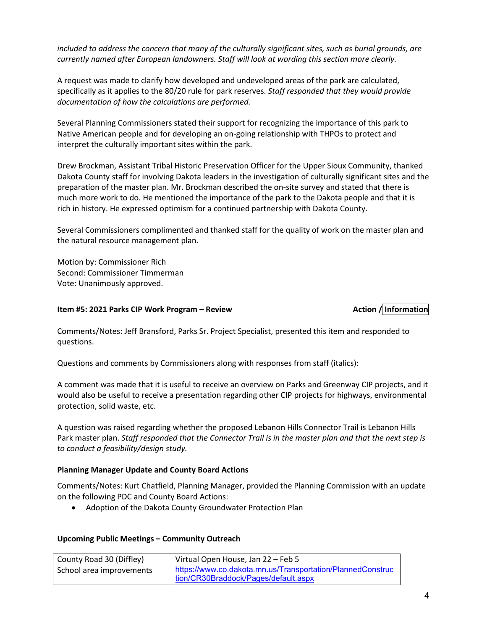*included to address the concern that many of the culturally significant sites, such as burial grounds, are currently named after European landowners. Staff will look at wording this section more clearly.*

A request was made to clarify how developed and undeveloped areas of the park are calculated, specifically as it applies to the 80/20 rule for park reserves. *Staff responded that they would provide documentation of how the calculations are performed.*

Several Planning Commissioners stated their support for recognizing the importance of this park to Native American people and for developing an on-going relationship with THPOs to protect and interpret the culturally important sites within the park.

Drew Brockman, Assistant Tribal Historic Preservation Officer for the Upper Sioux Community, thanked Dakota County staff for involving Dakota leaders in the investigation of culturally significant sites and the preparation of the master plan. Mr. Brockman described the on-site survey and stated that there is much more work to do. He mentioned the importance of the park to the Dakota people and that it is rich in history. He expressed optimism for a continued partnership with Dakota County.

Several Commissioners complimented and thanked staff for the quality of work on the master plan and the natural resource management plan.

Motion by: Commissioner Rich Second: Commissioner Timmerman Vote: Unanimously approved.

### **Item #5: 2021 Parks CIP Work Program – Review <b>Action 2 Action** / Information

Comments/Notes: Jeff Bransford, Parks Sr. Project Specialist, presented this item and responded to questions.

Questions and comments by Commissioners along with responses from staff (italics):

A comment was made that it is useful to receive an overview on Parks and Greenway CIP projects, and it would also be useful to receive a presentation regarding other CIP projects for highways, environmental protection, solid waste, etc.

A question was raised regarding whether the proposed Lebanon Hills Connector Trail is Lebanon Hills Park master plan. *Staff responded that the Connector Trail is in the master plan and that the next step is to conduct a feasibility/design study.*

### **Planning Manager Update and County Board Actions**

Comments/Notes: Kurt Chatfield, Planning Manager, provided the Planning Commission with an update on the following PDC and County Board Actions:

• Adoption of the Dakota County Groundwater Protection Plan

#### **Upcoming Public Meetings – Community Outreach**

| County Road 30 (Diffley) | Virtual Open House, Jan 22 – Feb 5                         |
|--------------------------|------------------------------------------------------------|
| School area improvements | https://www.co.dakota.mn.us/Transportation/PlannedConstruc |
|                          | tion/CR30Braddock/Pages/default.aspx                       |